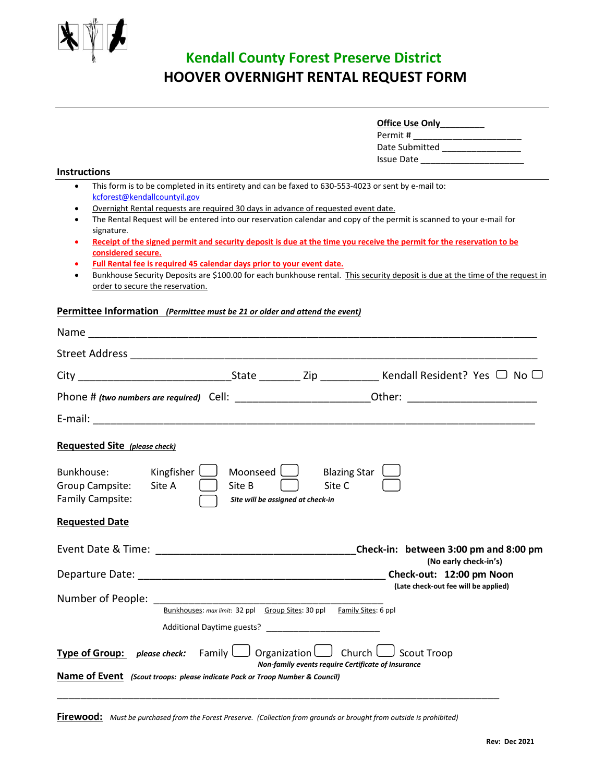

# **Kendall County Forest Preserve District HOOVER OVERNIGHT RENTAL REQUEST FORM**

| <b>Office Use Only</b> |  |
|------------------------|--|
| Permit #               |  |
| Date Submitted         |  |
| Issue Date             |  |

#### **Instructions**

- This form is to be completed in its entirety and can be faxed to 630-553-4023 or sent by e-mail to: [kcforest@kendallcountyil.gov](mailto:kcforest@kendallcountyil.gov)
- Overnight Rental requests are required 30 days in advance of requested event date.
- The Rental Request will be entered into our reservation calendar and copy of the permit is scanned to your e-mail for signature.
- **Receipt of the signed permit and security deposit is due at the time you receive the permit for the reservation to be considered secure.**
- **Full Rental fee is required 45 calendar days prior to your event date.**
- Bunkhouse Security Deposits are \$100.00 for each bunkhouse rental. This security deposit is due at the time of the request in order to secure the reservation.

### **Permittee Information** *(Permittee must be 21 or older and attend the event)*

| Name                                                                         |                    |                                                                                                     |                                                                          |
|------------------------------------------------------------------------------|--------------------|-----------------------------------------------------------------------------------------------------|--------------------------------------------------------------------------|
|                                                                              |                    |                                                                                                     |                                                                          |
|                                                                              |                    |                                                                                                     |                                                                          |
|                                                                              |                    |                                                                                                     |                                                                          |
|                                                                              |                    |                                                                                                     |                                                                          |
| <b>Requested Site (please check)</b>                                         |                    |                                                                                                     |                                                                          |
| Kingfisher<br>Bunkhouse:<br>Group Campsite:<br>Site A<br>Family Campsite:    | Moonseed<br>Site B | Site C<br>Site will be assigned at check-in                                                         | <b>Blazing Star</b>                                                      |
| <b>Requested Date</b>                                                        |                    |                                                                                                     |                                                                          |
|                                                                              |                    |                                                                                                     | Check-in: between 3:00 pm and 8:00 pm<br>(No early check-in's)           |
|                                                                              |                    |                                                                                                     | Check-out: 12:00 pm Noon<br>(Late check-out fee will be applied)         |
| Number of People: _______________                                            |                    | Bunkhouses: max limit: 32 ppl Group Sites: 30 ppl Family Sites: 6 ppl<br>Additional Daytime guests? |                                                                          |
| <b>Type of Group:</b> <i>please check:</i> Family $\Box$                     |                    | Organization $\Box$ Church $\Box$                                                                   | <b>Scout Troop</b><br>Non-family events require Certificate of Insurance |
| Name of Event (Scout troops: please indicate Pack or Troop Number & Council) |                    |                                                                                                     |                                                                          |

**Firewood:** *Must be purchased from the Forest Preserve. (Collection from grounds or brought from outside is prohibited)*